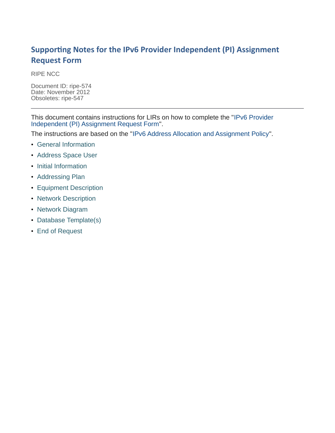#### **Supporting Notes for the IPv6 Provider Independent (PI) Assignment Request Form**

RIPE NCC

Document ID: ripe-574 Date: November 2012 Obsoletes: ripe-547

This document contains instructions for LIRs on how to complete the ["IPv6 Provider](http://ripe.net/ripe/docs/ipv6-pi) [Independent \(PI\) Assignment Request Form"](http://ripe.net/ripe/docs/ipv6-pi).

The instructions are based on the ["IPv6 Address Allocation and Assignment Policy"](http://www.ripe.net/ripe/docs/ipv6-policy).

- [General Information](#page-1-1)
- [Address Space User](#page-1-0)
- [Initial Information](#page-2-0)
- [Addressing Plan](#page-3-1)
- [Equipment Description](#page-3-0)
- [Network Description](#page-4-1)
- [Network Diagram](#page-4-0)
- [Database Template\(s\)](#page-5-0)
- [End of Request](#page-6-0)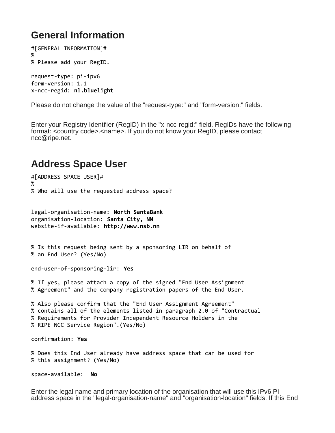### <span id="page-1-1"></span>**General Information**

#[GENERAL INFORMATION]# % % Please add your RegID. request-type: pi-ipv6 form-version: 1.1 x-ncc-regid: **nl.bluelight**

Please do not change the value of the "request-type:" and "form-version:" fields.

Enter your Registry Identifier (RegID) in the "x-ncc-regid:" field. RegIDs have the following format: <country code>.<name>. If you do not know your RegID, please contact ncc@ripe.net.

### <span id="page-1-0"></span>**Address Space User**

#[ADDRESS SPACE USER]# % % Who will use the requested address space?

legal-organisation-name: **North SantaBank** organisation-location: **Santa City, NN** website-if-available: **http://www.nsb.nn**

% Is this request being sent by a sponsoring LIR on behalf of % an End User? (Yes/No)

end-user-of-sponsoring-lir: **Yes**

% If yes, please attach a copy of the signed "End User Assignment % Agreement" and the company registration papers of the End User.

% Also please confirm that the "End User Assignment Agreement" % contains all of the elements listed in paragraph 2.0 of "Contractual % Requirements for Provider Independent Resource Holders in the % RIPE NCC Service Region".(Yes/No)

confirmation: **Yes**

% Does this End User already have address space that can be used for % this assignment? (Yes/No)

space-available: **No**

Enter the legal name and primary location of the organisation that will use this IPv6 PI address space in the "legal-organisation-name" and "organisation-location" fields. If this End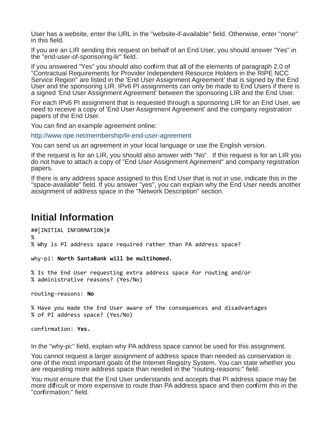User has a website, enter the URL in the "website-if-available" field. Otherwise, enter "none" in this field.

If you are an LIR sending this request on behalf of an End User, you should answer "Yes" in the "end-user-of-sponsoring-lir" field.

If you answered "Yes" you should also confirm that all of the elements of paragraph 2.0 of "Contractual Requirements for Provider Independent Resource Holders in the RIPE NCC Service Region" are listed in the 'End User Assignment Agreement' that is signed by the End User and the sponsoring LIR. IPv6 PI assignments can only be made to End Users if there is a signed 'End User Assignment Agreement' between the sponsoring LIR and the End User.

For each IPv6 PI assignment that is requested through a sponsoring LIR for an End User, we need to receive a copy of 'End User Assignment Agreement' and the company registration papers of the End User.

You can find an example agreement online:

<http://www.ripe.net/membership/lir-end-user-agreement>

You can send us an agreement in your local language or use the English version.

If the request is for an LIR, you should also answer with "No". If this request is for an LIR you do not have to attach a copy of "End User Assignment Agreement" and company registration papers.

If there is any address space assigned to this End User that is not in use, indicate this in the "space-available" field. If you answer "yes", you can explain why the End User needs another assignment of address space in the "Network Description" section.

#### <span id="page-2-0"></span>**Initial Information**

##[INITIAL INFORMATION]# % % Why is PI address space required rather than PA address space?

why-pi: **North SantaBank will be multihomed.** 

% Is the End User requesting extra address space for routing and/or % administrative reasons? (Yes/No)

routing-reasons: **No**

% Have you made the End User aware of the consequences and disadvantages % of PI address space? (Yes/No)

confirmation: **Yes.**

In the "why-pi:" field, explain why PA address space cannot be used for this assignment.

You cannot request a larger assignment of address space than needed as conservation is one of the most important goals of the Internet Registry System. You can state whether you are requesting more address space than needed in the "routing-reasons:" field.

You must ensure that the End User understands and accepts that PI address space may be more difficult or more expensive to route than PA address space and then confirm this in the "confirmation:" field.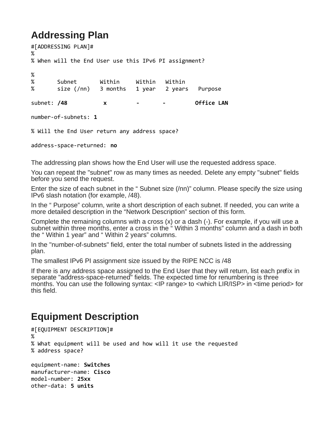# <span id="page-3-1"></span>**Addressing Plan**

#[ADDRESSING PLAN]# % % When will the End User use this IPv6 PI assignment? % % Subnet Within Within Within % size (/nn) 3 months 1 year 2 years Purpose subnet: /48 x - - Office LAN number-of-subnets: **1** % Will the End User return any address space?

address-space-returned: **no**

The addressing plan shows how the End User will use the requested address space.

You can repeat the "subnet" row as many times as needed. Delete any empty "subnet" fields before you send the request.

Enter the size of each subnet in the " Subnet size (/nn)" column. Please specify the size using IPv6 slash notation (for example, /48).

In the " Purpose" column, write a short description of each subnet. If needed, you can write a more detailed description in the "Network Description" section of this form.

Complete the remaining columns with a cross (x) or a dash (-). For example, if you will use a subnet within three months, enter a cross in the "Within 3 months" column and a dash in both the " Within 1 year" and " Within 2 years" columns.

In the "number-of-subnets" field, enter the total number of subnets listed in the addressing plan.

The smallest IPv6 PI assignment size issued by the RIPE NCC is /48

If there is any address space assigned to the End User that they will return, list each prefix in separate "address-space-returned" fields. The expected time for renumbering is three months. You can use the following syntax: <IP range> to <which LIR/ISP> in <time period> for this field.

## <span id="page-3-0"></span>**Equipment Description**

```
#[EQUIPMENT DESCRIPTION]#
%
% What equipment will be used and how will it use the requested
% address space?
equipment-name: Switches
manufacturer-name: Cisco
model-number: 25xx
other-data: 5 units
```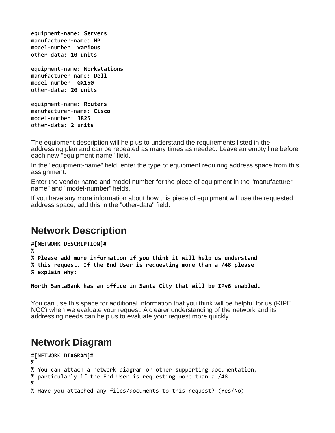equipment-name: **Servers** manufacturer-name: **HP** model-number: **various** other-data: **10 units**

```
equipment-name: Workstations
manufacturer-name: Dell
model-number: GX150
other-data: 20 units
```

```
equipment-name: Routers
manufacturer-name: Cisco
model-number: 3825
other-data: 2 units
```
The equipment description will help us to understand the requirements listed in the addressing plan and can be repeated as many times as needed. Leave an empty line before each new "equipment-name" field.

In the "equipment-name" field, enter the type of equipment requiring address space from this assignment.

Enter the vendor name and model number for the piece of equipment in the "manufacturername" and "model-number" fields.

If you have any more information about how this piece of equipment will use the requested address space, add this in the "other-data" field.

#### <span id="page-4-1"></span>**Network Description**

```
#[NETWORK DESCRIPTION]#
%
% Please add more information if you think it will help us understand
% this request. If the End User is requesting more than a /48 please 
% explain why:
```
**North SantaBank has an office in Santa City that will be IPv6 enabled.**

You can use this space for additional information that you think will be helpful for us (RIPE NCC) when we evaluate your request. A clearer understanding of the network and its addressing needs can help us to evaluate your request more quickly.

#### <span id="page-4-0"></span>**Network Diagram**

```
#[NETWORK DIAGRAM]#
%
% You can attach a network diagram or other supporting documentation,
% particularly if the End User is requesting more than a /48
%
% Have you attached any files/documents to this request? (Yes/No)
```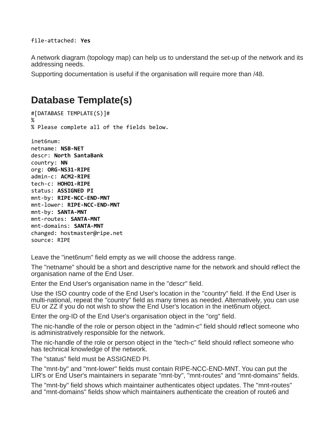A network diagram (topology map) can help us to understand the set-up of the network and its addressing needs.

Supporting documentation is useful if the organisation will require more than /48.

## <span id="page-5-0"></span>**Database Template(s)**

```
#[DATABASE TEMPLATE(S)]#
%
% Please complete all of the fields below.
inet6num:
netname: NSB-NET
descr: North SantaBank
country: NN
org: ORG-NS31-RIPE
admin-c: ACM2-RIPE
```
tech-c: **HOHO1-RIPE** status: **ASSIGNED PI** mnt-by: **RIPE-NCC-END-MNT** mnt-lower: **RIPE-NCC-END-MNT** mnt-by: **SANTA-MNT** mnt-routes: **SANTA-MNT** mnt-domains: **SANTA-MNT** changed: hostmaster@ripe.net source: RIPE

Leave the "inet6num" field empty as we will choose the address range.

The "netname" should be a short and descriptive name for the network and should reflect the organisation name of the End User.

Enter the End User's organisation name in the "descr" field.

Use the ISO country code of the End User's location in the "country" field. If the End User is multi-national, repeat the "country" field as many times as needed. Alternatively, you can use EU or ZZ if you do not wish to show the End User's location in the inet6num object.

Enter the org-ID of the End User's organisation object in the "org" field.

The nic-handle of the role or person object in the "admin-c" field should reflect someone who is administratively responsible for the network.

The nic-handle of the role or person object in the "tech-c" field should reflect someone who has technical knowledge of the network.

The "status" field must be ASSIGNED PI.

The "mnt-by" and "mnt-lower" fields must contain RIPE-NCC-END-MNT. You can put the LIR's or End User's maintainers in separate "mnt-by", "mnt-routes" and "mnt-domains" fields.

The "mnt-by" field shows which maintainer authenticates object updates. The "mnt-routes" and "mnt-domains" fields show which maintainers authenticate the creation of route6 and